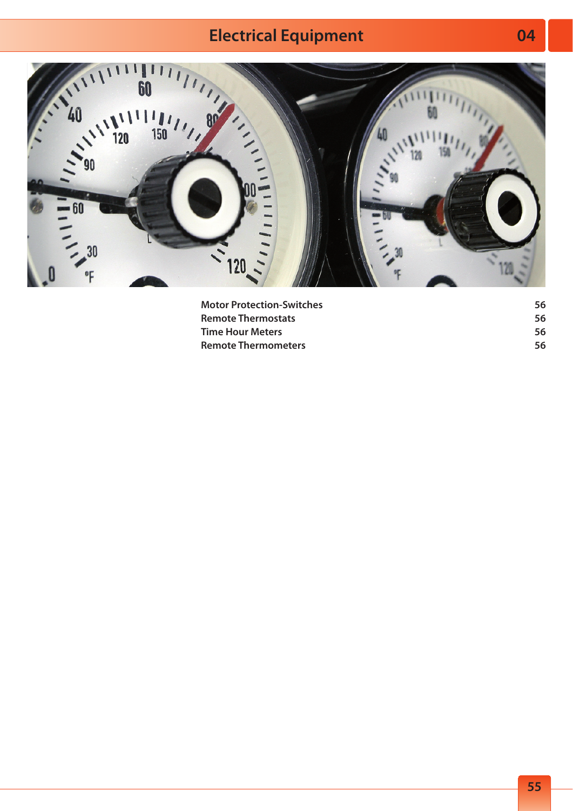## **Electrical Equipment**



| <b>Motor Protection-Switches</b> | 56  |
|----------------------------------|-----|
| <b>Remote Thermostats</b>        | 56. |
| <b>Time Hour Meters</b>          | 56  |
| <b>Remote Thermometers</b>       | 56  |

**04**